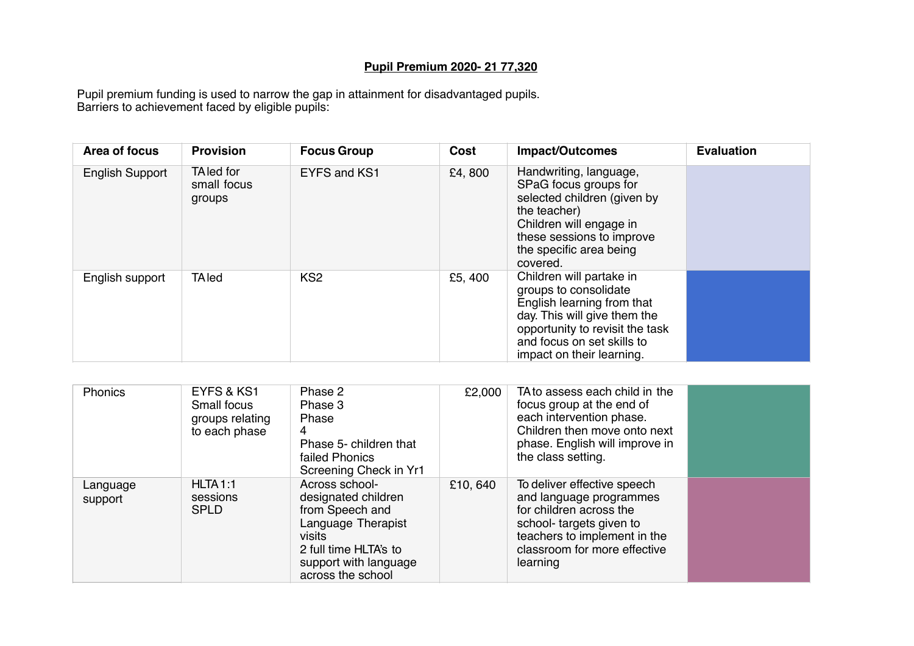## **Pupil Premium 2020- 21 77,320**

Pupil premium funding is used to narrow the gap in attainment for disadvantaged pupils. Barriers to achievement faced by eligible pupils:

| Area of focus   | <b>Provision</b>                    | <b>Focus Group</b> | Cost   | <b>Impact/Outcomes</b>                                                                                                                                                                                        | <b>Evaluation</b> |
|-----------------|-------------------------------------|--------------------|--------|---------------------------------------------------------------------------------------------------------------------------------------------------------------------------------------------------------------|-------------------|
| English Support | TA led for<br>small focus<br>groups | EYFS and KS1       | £4,800 | Handwriting, language,<br>SPaG focus groups for<br>selected children (given by<br>the teacher)<br>Children will engage in<br>these sessions to improve<br>the specific area being<br>covered.                 |                   |
| English support | <b>TA</b> led                       | KS <sub>2</sub>    | £5,400 | Children will partake in<br>groups to consolidate<br>English learning from that<br>day. This will give them the<br>opportunity to revisit the task<br>and focus on set skills to<br>impact on their learning. |                   |

| Phonics             | EYFS & KS1<br>Small focus<br>groups relating<br>to each phase | Phase 2<br>Phase 3<br>Phase<br>4<br>Phase 5- children that<br>failed Phonics<br>Screening Check in Yr1                                                          | £2,000   | TA to assess each child in the<br>focus group at the end of<br>each intervention phase.<br>Children then move onto next<br>phase. English will improve in<br>the class setting.          |  |
|---------------------|---------------------------------------------------------------|-----------------------------------------------------------------------------------------------------------------------------------------------------------------|----------|------------------------------------------------------------------------------------------------------------------------------------------------------------------------------------------|--|
| Language<br>support | HLTA1:1<br>sessions<br><b>SPLD</b>                            | Across school-<br>designated children<br>from Speech and<br>Language Therapist<br>visits<br>2 full time HLTA's to<br>support with language<br>across the school | £10, 640 | To deliver effective speech<br>and language programmes<br>for children across the<br>school-targets given to<br>teachers to implement in the<br>classroom for more effective<br>learning |  |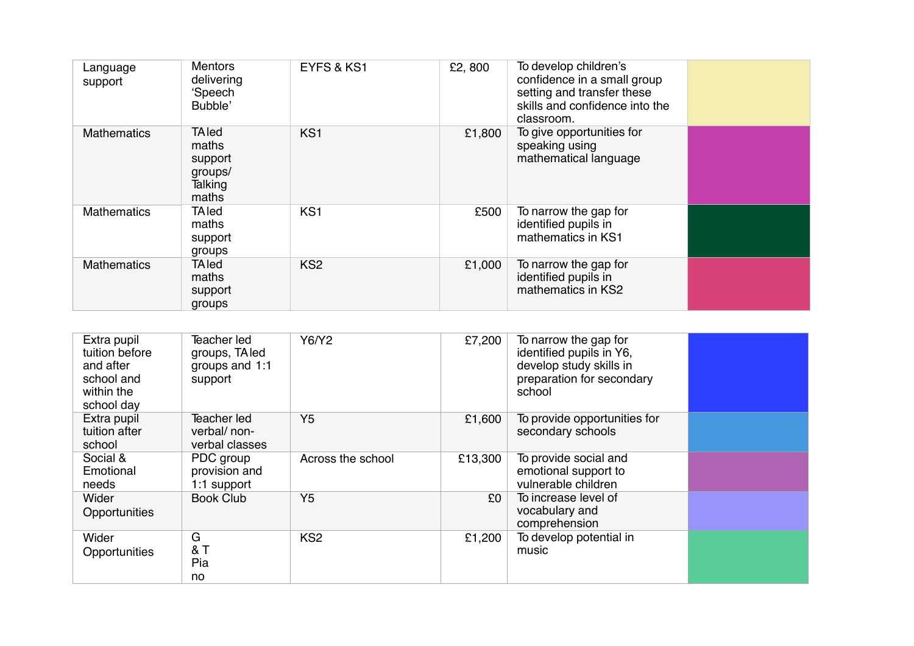| Language<br>support | <b>Mentors</b><br>delivering<br>'Speech<br>Bubble'              | EYFS & KS1      | £2,800 | To develop children's<br>confidence in a small group<br>setting and transfer these<br>skills and confidence into the<br>classroom. |  |
|---------------------|-----------------------------------------------------------------|-----------------|--------|------------------------------------------------------------------------------------------------------------------------------------|--|
| <b>Mathematics</b>  | <b>TAled</b><br>maths<br>support<br>groups/<br>Talking<br>maths | KS <sub>1</sub> | £1,800 | To give opportunities for<br>speaking using<br>mathematical language                                                               |  |
| <b>Mathematics</b>  | <b>TA</b> led<br>maths<br>support<br>groups                     | KS <sub>1</sub> | £500   | To narrow the gap for<br>identified pupils in<br>mathematics in KS1                                                                |  |
| <b>Mathematics</b>  | <b>TAled</b><br>maths<br>support<br>groups                      | KS <sub>2</sub> | £1,000 | To narrow the gap for<br>identified pupils in<br>mathematics in KS2                                                                |  |

| Extra pupil<br>tuition before<br>and after<br>school and<br>within the<br>school day | Teacher led<br>groups, TA led<br>groups and 1:1<br>support | Y6/Y2             | £7,200  | To narrow the gap for<br>identified pupils in Y6,<br>develop study skills in<br>preparation for secondary<br>school |  |
|--------------------------------------------------------------------------------------|------------------------------------------------------------|-------------------|---------|---------------------------------------------------------------------------------------------------------------------|--|
| Extra pupil<br>tuition after<br>school                                               | Teacher led<br>verbal/ non-<br>verbal classes              | Y <sub>5</sub>    | £1,600  | To provide opportunities for<br>secondary schools                                                                   |  |
| Social &<br>Emotional<br>needs                                                       | PDC group<br>provision and<br>1:1 support                  | Across the school | £13,300 | To provide social and<br>emotional support to<br>vulnerable children                                                |  |
| Wider<br>Opportunities                                                               | <b>Book Club</b>                                           | Y <sub>5</sub>    | £0      | To increase level of<br>vocabulary and<br>comprehension                                                             |  |
| Wider<br>Opportunities                                                               | G<br>& T<br>Pia<br>no                                      | KS <sub>2</sub>   | £1,200  | To develop potential in<br>music                                                                                    |  |